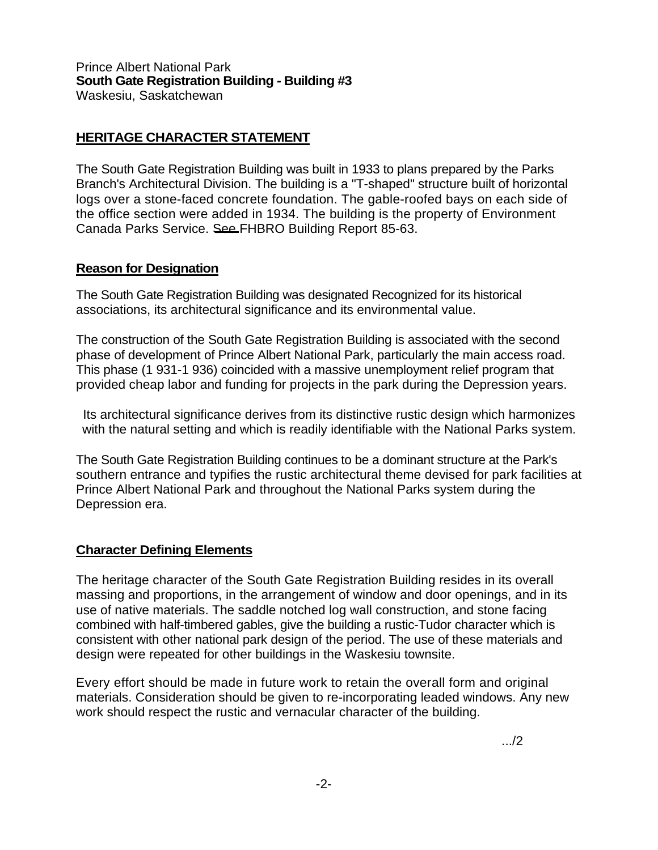## **HERITAGE CHARACTER STATEMENT**

The South Gate Registration Building was built in 1933 to plans prepared by the Parks Branch's Architectural Division. The building is a "T-shaped" structure built of horizontal logs over a stone-faced concrete foundation. The gable-roofed bays on each side of the office section were added in 1934. The building is the property of Environment Canada Parks Service. See FHBRO Building Report 85-63.

## **Reason for Designation**

The South Gate Registration Building was designated Recognized for its historical associations, its architectural significance and its environmental value.

The construction of the South Gate Registration Building is associated with the second phase of development of Prince Albert National Park, particularly the main access road. This phase (1 931-1 936) coincided with a massive unemployment relief program that provided cheap labor and funding for projects in the park during the Depression years.

Its architectural significance derives from its distinctive rustic design which harmonizes with the natural setting and which is readily identifiable with the National Parks system.

The South Gate Registration Building continues to be a dominant structure at the Park's southern entrance and typifies the rustic architectural theme devised for park facilities at Prince Albert National Park and throughout the National Parks system during the Depression era.

## **Character Defining Elements**

The heritage character of the South Gate Registration Building resides in its overall massing and proportions, in the arrangement of window and door openings, and in its use of native materials. The saddle notched log wall construction, and stone facing combined with half-timbered gables, give the building a rustic-Tudor character which is consistent with other national park design of the period. The use of these materials and design were repeated for other buildings in the Waskesiu townsite.

Every effort should be made in future work to retain the overall form and original materials. Consideration should be given to re-incorporating leaded windows. Any new work should respect the rustic and vernacular character of the building.

.../2